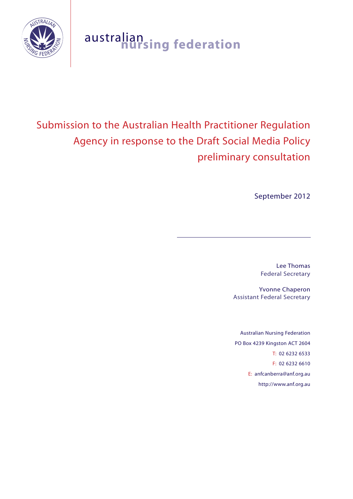

# australian **nursing federation**

# Submission to the Australian Health Practitioner Regulation Agency in response to the Draft Social Media Policy preliminary consultation

September 2012

Lee Thomas Federal Secretary

Yvonne Chaperon Assistant Federal Secretary

Australian Nursing Federation PO Box 4239 Kingston ACT 2604 T: 02 6232 6533 F: 02 6232 6610 E: anfcanberra@anf.org.au http://www.anf.org.au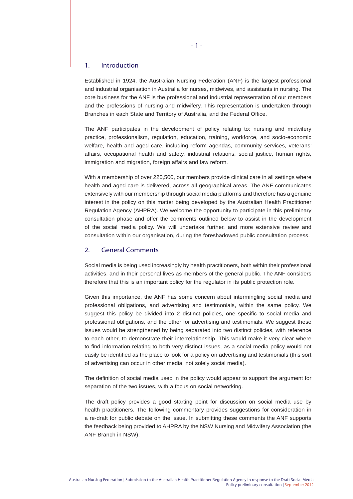# 1. Introduction

Established in 1924, the Australian Nursing Federation (ANF) is the largest professional and industrial organisation in Australia for nurses, midwives, and assistants in nursing. The core business for the ANF is the professional and industrial representation of our members and the professions of nursing and midwifery. This representation is undertaken through Branches in each State and Territory of Australia, and the Federal Office.

The ANF participates in the development of policy relating to: nursing and midwifery practice, professionalism, regulation, education, training, workforce, and socio-economic welfare, health and aged care, including reform agendas, community services, veterans' affairs, occupational health and safety, industrial relations, social justice, human rights, immigration and migration, foreign affairs and law reform.

With a membership of over 220,500, our members provide clinical care in all settings where health and aged care is delivered, across all geographical areas. The ANF communicates extensively with our membership through social media platforms and therefore has a genuine interest in the policy on this matter being developed by the Australian Health Practitioner Regulation Agency (AHPRA). We welcome the opportunity to participate in this preliminary consultation phase and offer the comments outlined below to assist in the development of the social media policy. We will undertake further, and more extensive review and consultation within our organisation, during the foreshadowed public consultation process.

# 2. General Comments

Social media is being used increasingly by health practitioners, both within their professional activities, and in their personal lives as members of the general public. The ANF considers therefore that this is an important policy for the regulator in its public protection role.

Given this importance, the ANF has some concern about intermingling social media and professional obligations, and advertising and testimonials, within the same policy. We suggest this policy be divided into 2 distinct policies, one specific to social media and professional obligations, and the other for advertising and testimonials. We suggest these issues would be strengthened by being separated into two distinct policies, with reference to each other, to demonstrate their interrelationship. This would make it very clear where to find information relating to both very distinct issues, as a social media policy would not easily be identified as the place to look for a policy on advertising and testimonials (this sort of advertising can occur in other media, not solely social media).

The definition of social media used in the policy would appear to support the argument for separation of the two issues, with a focus on social networking.

The draft policy provides a good starting point for discussion on social media use by health practitioners. The following commentary provides suggestions for consideration in a re-draft for public debate on the issue. In submitting these comments the ANF supports the feedback being provided to AHPRA by the NSW Nursing and Midwifery Association (the ANF Branch in NSW).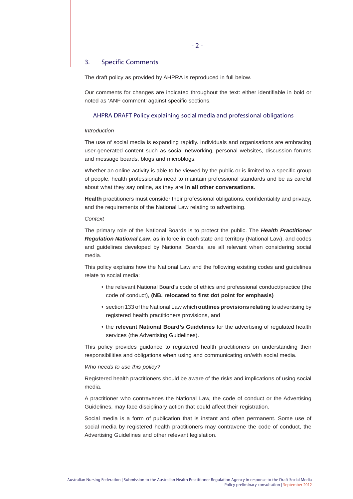# $-2-$

# 3. Specific Comments

The draft policy as provided by AHPRA is reproduced in full below.

Our comments for changes are indicated throughout the text: either identifiable in bold or noted as 'ANF comment' against specific sections.

# AHPRA DRAFT Policy explaining social media and professional obligations

#### *Introduction*

The use of social media is expanding rapidly. Individuals and organisations are embracing user-generated content such as social networking, personal websites, discussion forums and message boards, blogs and microblogs.

Whether an online activity is able to be viewed by the public or is limited to a specific group of people, health professionals need to maintain professional standards and be as careful about what they say online, as they are **in all other conversations**.

**Health** practitioners must consider their professional obligations, confidentiality and privacy, and the requirements of the National Law relating to advertising.

# *Context*

The primary role of the National Boards is to protect the public. The *Health Practitioner Regulation National Law*, as in force in each state and territory (National Law), and codes and guidelines developed by National Boards, are all relevant when considering social media.

This policy explains how the National Law and the following existing codes and guidelines relate to social media:

- the relevant National Board's code of ethics and professional conduct/practice (the code of conduct), **(NB. relocated to first dot point for emphasis)**
- section 133 of the National Law which **outlines provisions relating** to advertising by registered health practitioners provisions, and
- the **relevant National Board's Guidelines** for the advertising of regulated health services (the Advertising Guidelines).

This policy provides guidance to registered health practitioners on understanding their responsibilities and obligations when using and communicating on/with social media.

### *Who needs to use this policy?*

Registered health practitioners should be aware of the risks and implications of using social media.

A practitioner who contravenes the National Law, the code of conduct or the Advertising Guidelines, may face disciplinary action that could affect their registration.

Social media is a form of publication that is instant and often permanent. Some use of social media by registered health practitioners may contravene the code of conduct, the Advertising Guidelines and other relevant legislation.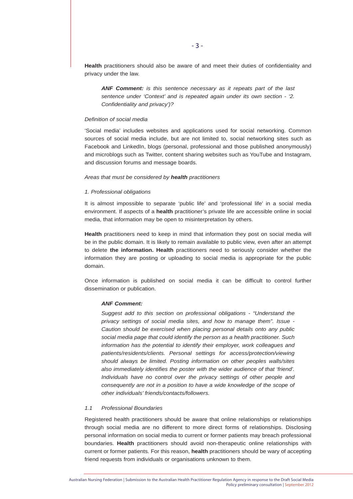**Health** practitioners should also be aware of and meet their duties of confidentiality and privacy under the law.

*ANF Comment: is this sentence necessary as it repeats part of the last sentence under 'Context' and is repeated again under its own section - '2. Confidentiality and privacy')?* 

#### *Definition of social media*

'Social media' includes websites and applications used for social networking. Common sources of social media include, but are not limited to, social networking sites such as Facebook and LinkedIn, blogs (personal, professional and those published anonymously) and microblogs such as Twitter, content sharing websites such as YouTube and Instagram, and discussion forums and message boards.

#### *Areas that must be considered by health practitioners*

#### *1. Professional obligations*

It is almost impossible to separate 'public life' and 'professional life' in a social media environment. If aspects of a **health** practitioner's private life are accessible online in social media, that information may be open to misinterpretation by others.

**Health** practitioners need to keep in mind that information they post on social media will be in the public domain. It is likely to remain available to public view, even after an attempt to delete **the information. Health** practitioners need to seriously consider whether the information they are posting or uploading to social media is appropriate for the public domain.

Once information is published on social media it can be difficult to control further dissemination or publication.

# *ANF Comment:*

*Suggest add to this section on professional obligations - "Understand the privacy settings of social media sites, and how to manage them". Issue - Caution should be exercised when placing personal details onto any public social media page that could identify the person as a health practitioner. Such information has the potential to identify their employer, work colleagues and patients/residents/clients. Personal settings for access/protection/viewing should always be limited. Posting information on other peoples walls/sites also immediately identifies the poster with the wider audience of that 'friend'. Individuals have no control over the privacy settings of other people and consequently are not in a position to have a wide knowledge of the scope of other individuals' friends/contacts/followers.*

#### *1.1 Professional Boundaries*

Registered health practitioners should be aware that online relationships or relationships through social media are no different to more direct forms of relationships. Disclosing personal information on social media to current or former patients may breach professional boundaries. **Health** practitioners should avoid non-therapeutic online relationships with current or former patients. For this reason, **health** practitioners should be wary of accepting friend requests from individuals or organisations unknown to them.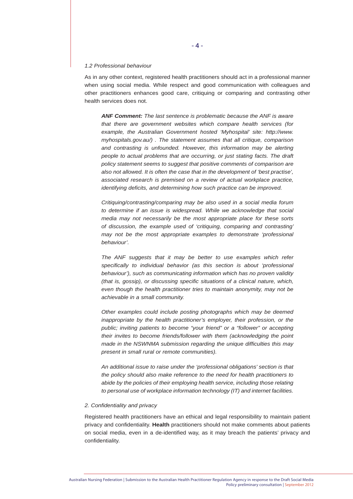#### *1.2 Professional behaviour*

As in any other context, registered health practitioners should act in a professional manner when using social media. While respect and good communication with colleagues and other practitioners enhances good care, critiquing or comparing and contrasting other health services does not.

*ANF Comment: The last sentence is problematic because the ANF is aware that there are government websites which compare health services (for example, the Australian Government hosted 'Myhospital' site: http://www. myhospitals.gov.au/) . The statement assumes that all critique, comparison and contrasting is unfounded. However, this information may be alerting people to actual problems that are occurring, or just stating facts. The draft policy statement seems to suggest that positive comments of comparison are also not allowed. It is often the case that in the development of 'best practise', associated research is premised on a review of actual workplace practice, identifying deficits, and determining how such practice can be improved.* 

*Critiquing/contrasting/comparing may be also used in a social media forum to determine if an issue is widespread. While we acknowledge that social media may not necessarily be the most appropriate place for these sorts of discussion, the example used of 'critiquing, comparing and contrasting' may not be the most appropriate examples to demonstrate 'professional behaviour'.*

*The ANF suggests that it may be better to use examples which refer specifically to individual behavior (as this section is about 'professional behaviour'), such as communicating information which has no proven validity (that is, gossip), or discussing specific situations of a clinical nature, which, even though the health practitioner tries to maintain anonymity, may not be achievable in a small community.* 

*Other examples could include posting photographs which may be deemed inappropriate by the health practitioner's employer, their profession, or the public; inviting patients to become "your friend" or a "follower" or accepting their invites to become friends/follower with them (acknowledging the point made in the NSWNMA submission regarding the unique difficulties this may present in small rural or remote communities).* 

*An additional issue to raise under the 'professional obligations' section is that the policy should also make reference to the need for health practitioners to abide by the policies of their employing health service, including those relating to personal use of workplace information technology (IT) and internet facilities.*

#### *2. Confidentiality and privacy*

Registered health practitioners have an ethical and legal responsibility to maintain patient privacy and confidentiality. **Health** practitioners should not make comments about patients on social media, even in a de-identified way, as it may breach the patients' privacy and confidentiality.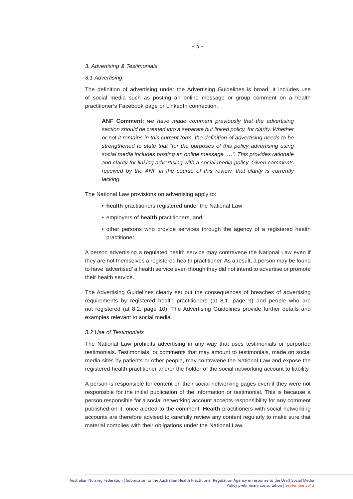#### *3. Advertising & Testimonials*

#### *3.1 Advertising*

The definition of advertising under the Advertising Guidelines is broad. It includes use of social media such as posting an online message or group comment on a health practitioner's Facebook page or LinkedIn connection.

**ANF Comment:** *we have made comment previously that the advertising section should be created into a separate but linked policy, for clarity. Whether or not it remains in this current form, the definition of advertising needs to be strengthened to state that "for the purposes of this policy advertising using social media includes posting an online message ….". This provides rationale and clarity for linking advertising with a social media policy. Given comments*  received by the ANF in the course of this review, that clarity is currently *lacking.*

The National Law provisions on advertising apply to:

- **health** practitioners registered under the National Law
- employers of **health** practitioners, and
- other persons who provide services through the agency of a registered health practitioner.

A person advertising a regulated health service may contravene the National Law even if they are not themselves a registered health practitioner. As a result, a person may be found to have 'advertised' a health service even though they did not intend to advertise or promote their health service.

The Advertising Guidelines clearly set out the consequences of breaches of advertising requirements by registered health practitioners (at 8.1, page 9) and people who are not registered (at 8.2, page 10). The Advertising Guidelines provide further details and examples relevant to social media.

#### *3.2 Use of Testimonials*

The National Law prohibits advertising in any way that uses testimonials or purported testimonials. Testimonials, or comments that may amount to testimonials, made on social media sites by patients or other people, may contravene the National Law and expose the registered health practitioner and/or the holder of the social networking account to liability.

A person is responsible for content on their social networking pages even if they were not responsible for the initial publication of the information or testimonial. This is because a person responsible for a social networking account accepts responsibility for any comment published on it, once alerted to the comment. **Health** practitioners with social networking accounts are therefore advised to carefully review any content regularly to make sure that material complies with their obligations under the National Law.